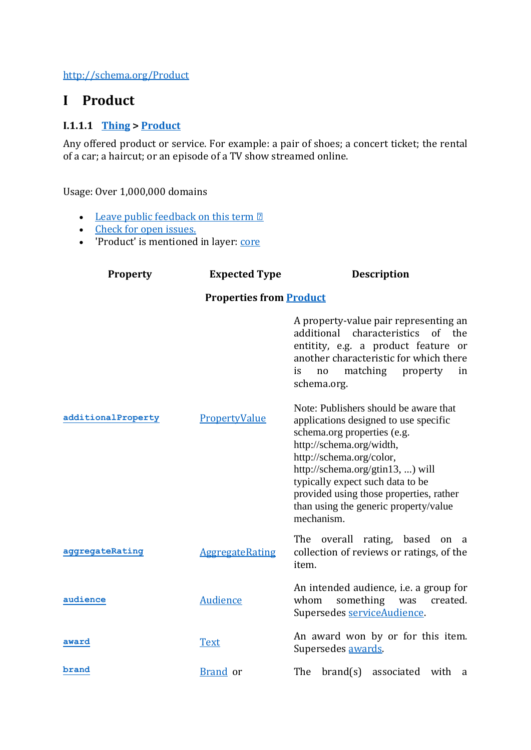<http://schema.org/Product>

# **I Product**

## **I.1.1.1 [Thing](http://schema.org/Thing) > [Product](http://schema.org/Product)**

Any offered product or service. For example: a pair of shoes; a concert ticket; the rental of a car; a haircut; or an episode of a TV show streamed online.

Usage: Over 1,000,000 domains

- [Leave public feedback on this term](https://docs.google.com/a/google.com/forms/d/1krxHlWJAO3JgvHRZV9Rugkr9VYnMdrI10xbGsWt733c/viewform?entry.1174568178&entry.41124795=http://schema.org/Product&entry.882602760=type) 2
- [Check for open issues.](https://github.com/schemaorg/schemaorg/issues?q=is%3Aissue+is%3Aopen+Product)
- 'Product' is mentioned in layer: [core](http://schema.org/Product)

| <b>Property</b>                | <b>Expected Type</b>   | <b>Description</b>                                                                                                                                                                                                                                                                                                                              |
|--------------------------------|------------------------|-------------------------------------------------------------------------------------------------------------------------------------------------------------------------------------------------------------------------------------------------------------------------------------------------------------------------------------------------|
| <b>Properties from Product</b> |                        |                                                                                                                                                                                                                                                                                                                                                 |
|                                |                        | A property-value pair representing an<br>additional characteristics of the<br>entitity, e.g. a product feature or<br>another characteristic for which there<br>matching property<br>is<br>no<br>in<br>schema.org.                                                                                                                               |
| additionalProperty             | PropertyValue          | Note: Publishers should be aware that<br>applications designed to use specific<br>schema.org properties (e.g.<br>http://schema.org/width,<br>http://schema.org/color,<br>http://schema.org/gtin13, ) will<br>typically expect such data to be<br>provided using those properties, rather<br>than using the generic property/value<br>mechanism. |
| aggregateRating                | <b>AggregateRating</b> | The overall rating, based on a<br>collection of reviews or ratings, of the<br>item.                                                                                                                                                                                                                                                             |
| audience                       | Audience               | An intended audience, <i>i.e.</i> a group for<br>whom<br>something was<br>created.<br>Supersedes serviceAudience.                                                                                                                                                                                                                               |
| award                          | <b>Text</b>            | An award won by or for this item.<br>Supersedes awards.                                                                                                                                                                                                                                                                                         |
| brand                          | <b>Brand</b> or        | The brand(s) associated with<br>a                                                                                                                                                                                                                                                                                                               |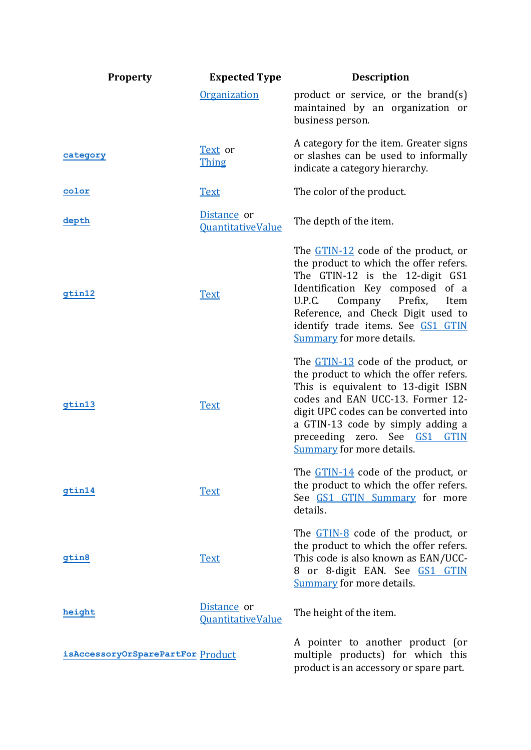| <b>Property</b>                   | <b>Expected Type</b>                           | <b>Description</b>                                                                                                                                                                                                                                                                                                           |
|-----------------------------------|------------------------------------------------|------------------------------------------------------------------------------------------------------------------------------------------------------------------------------------------------------------------------------------------------------------------------------------------------------------------------------|
|                                   | <b>Organization</b>                            | product or service, or the brand $(s)$<br>maintained by an organization or<br>business person.                                                                                                                                                                                                                               |
| category                          | Text or<br><b>Thing</b>                        | A category for the item. Greater signs<br>or slashes can be used to informally<br>indicate a category hierarchy.                                                                                                                                                                                                             |
| color                             | <b>Text</b>                                    | The color of the product.                                                                                                                                                                                                                                                                                                    |
| depth                             | Distance or<br><b>QuantitativeValue</b>        | The depth of the item.                                                                                                                                                                                                                                                                                                       |
| gtin12                            | <b>Text</b>                                    | The GTIN-12 code of the product, or<br>the product to which the offer refers.<br>The GTIN-12 is the 12-digit GS1<br>Identification Key composed of a<br>Company Prefix,<br>U.P.C.<br>Item<br>Reference, and Check Digit used to<br>identify trade items. See GS1 GTIN<br><b>Summary</b> for more details.                    |
| gtin13                            | <b>Text</b>                                    | The <u>GTIN-13</u> code of the product, or<br>the product to which the offer refers.<br>This is equivalent to 13-digit ISBN<br>codes and EAN UCC-13. Former 12-<br>digit UPC codes can be converted into<br>a GTIN-13 code by simply adding a<br>preceeding zero. See GS1<br><b>GTIN</b><br><b>Summary for more details.</b> |
| gtin14                            | <b>Text</b>                                    | The GTIN-14 code of the product, or<br>the product to which the offer refers.<br>See GS1 GTIN Summary for more<br>details.                                                                                                                                                                                                   |
| gtin8                             | <b>Text</b>                                    | The <u>GTIN-8</u> code of the product, or<br>the product to which the offer refers.<br>This code is also known as EAN/UCC-<br>8 or 8-digit EAN. See GS1 GTIN<br><b>Summary</b> for more details.                                                                                                                             |
| height                            | <u>Distance</u> or<br><b>QuantitativeValue</b> | The height of the item.                                                                                                                                                                                                                                                                                                      |
| isAccessoryOrSparePartFor Product |                                                | A pointer to another product (or<br>multiple products) for which this<br>product is an accessory or spare part.                                                                                                                                                                                                              |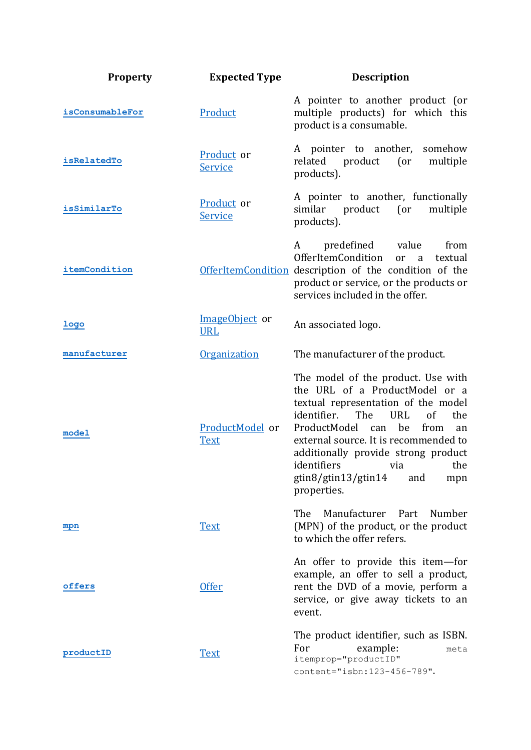| <b>Property</b> | <b>Expected Type</b>           | <b>Description</b>                                                                                                                                                                                                                                                                                                                                             |
|-----------------|--------------------------------|----------------------------------------------------------------------------------------------------------------------------------------------------------------------------------------------------------------------------------------------------------------------------------------------------------------------------------------------------------------|
| isConsumableFor | Product                        | A pointer to another product (or<br>multiple products) for which this<br>product is a consumable.                                                                                                                                                                                                                                                              |
| isRelatedTo     | Product or<br>Service          | A pointer to another, somehow<br>product<br>related<br>(<br>multiple<br>products).                                                                                                                                                                                                                                                                             |
| isSimilarTo     | Product or<br>Service          | A pointer to another, functionally<br>similar<br>product<br>(<br>multiple<br>products).                                                                                                                                                                                                                                                                        |
| itemCondition   |                                | predefined<br>value<br>from<br>A<br>OfferItemCondition<br>textual<br>or<br>$\overline{a}$<br>OfferItemCondition description of the condition of the<br>product or service, or the products or<br>services included in the offer.                                                                                                                               |
| <u>logo</u>     | ImageObject or<br><b>URL</b>   | An associated logo.                                                                                                                                                                                                                                                                                                                                            |
| manufacturer    | Organization                   | The manufacturer of the product.                                                                                                                                                                                                                                                                                                                               |
| model           | ProductModel or<br><b>Text</b> | The model of the product. Use with<br>the URL of a ProductModel or a<br>textual representation of the model<br>identifier.<br>The<br>URL<br>of<br>the<br>ProductModel<br>be<br>from<br>can<br>an<br>external source. It is recommended to<br>additionally provide strong product<br>identifiers via<br>the<br>gtin8/gtin13/gtin14<br>and<br>mpn<br>properties. |
| mpn             | <b>Text</b>                    | The<br>Manufacturer Part<br>Number<br>(MPN) of the product, or the product<br>to which the offer refers.                                                                                                                                                                                                                                                       |
| offers          | <b>Offer</b>                   | An offer to provide this item-for<br>example, an offer to sell a product,<br>rent the DVD of a movie, perform a<br>service, or give away tickets to an<br>event.                                                                                                                                                                                               |
| productID       | <b>Text</b>                    | The product identifier, such as ISBN.<br>For<br>example:<br>meta<br>itemprop="productID"<br>content="isbn:123-456-789".                                                                                                                                                                                                                                        |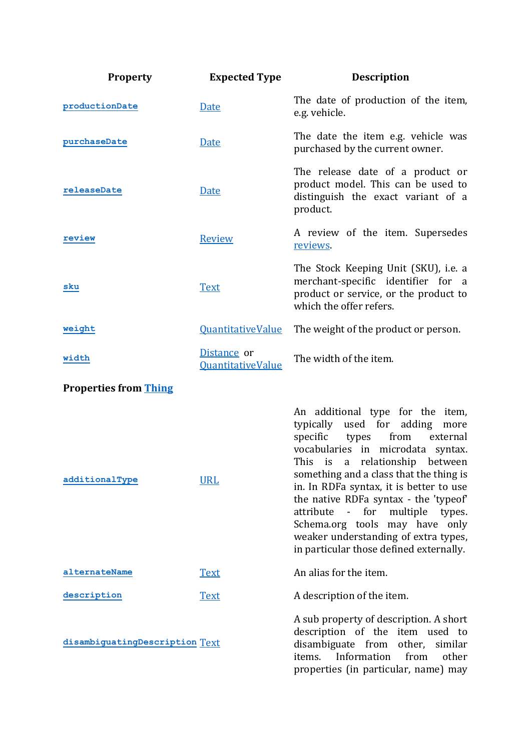| <b>Property</b>                | <b>Expected Type</b>                    | <b>Description</b>                                                                                                                                                                                                                                                                                                                                                                                                                                                                                                |
|--------------------------------|-----------------------------------------|-------------------------------------------------------------------------------------------------------------------------------------------------------------------------------------------------------------------------------------------------------------------------------------------------------------------------------------------------------------------------------------------------------------------------------------------------------------------------------------------------------------------|
| productionDate                 | Date                                    | The date of production of the item,<br>e.g. vehicle.                                                                                                                                                                                                                                                                                                                                                                                                                                                              |
| purchaseDate                   | <b>Date</b>                             | The date the item e.g. vehicle was<br>purchased by the current owner.                                                                                                                                                                                                                                                                                                                                                                                                                                             |
| releaseDate                    | <u>Date</u>                             | The release date of a product or<br>product model. This can be used to<br>distinguish the exact variant of a<br>product.                                                                                                                                                                                                                                                                                                                                                                                          |
| review                         | Review                                  | A review of the item. Supersedes<br>reviews.                                                                                                                                                                                                                                                                                                                                                                                                                                                                      |
| sku                            | <b>Text</b>                             | The Stock Keeping Unit (SKU), i.e. a<br>merchant-specific identifier for a<br>product or service, or the product to<br>which the offer refers.                                                                                                                                                                                                                                                                                                                                                                    |
| weight                         | <b>QuantitativeValue</b>                | The weight of the product or person.                                                                                                                                                                                                                                                                                                                                                                                                                                                                              |
| width                          | Distance or<br><b>QuantitativeValue</b> | The width of the item.                                                                                                                                                                                                                                                                                                                                                                                                                                                                                            |
| <b>Properties from Thing</b>   |                                         |                                                                                                                                                                                                                                                                                                                                                                                                                                                                                                                   |
| additionalType                 | <b>URL</b>                              | An additional type for the item,<br>typically used for<br>adding<br>more<br>specific<br>from<br>external<br>types<br>vocabularies in microdata syntax.<br>This is<br>relationship<br>between<br>a<br>something and a class that the thing is<br>in. In RDFa syntax, it is better to use<br>the native RDFa syntax - the 'typeof'<br>for<br>multiple<br>attribute<br>$\blacksquare$<br>types.<br>Schema.org tools may have only<br>weaker understanding of extra types,<br>in particular those defined externally. |
| alternateName                  | <b>Text</b>                             | An alias for the item.                                                                                                                                                                                                                                                                                                                                                                                                                                                                                            |
| description                    | <b>Text</b>                             | A description of the item.                                                                                                                                                                                                                                                                                                                                                                                                                                                                                        |
| disambiguatingDescription Text |                                         | A sub property of description. A short<br>description of the item used to<br>disambiguate from other, similar<br>Information<br>from<br>items.<br>other<br>properties (in particular, name) may                                                                                                                                                                                                                                                                                                                   |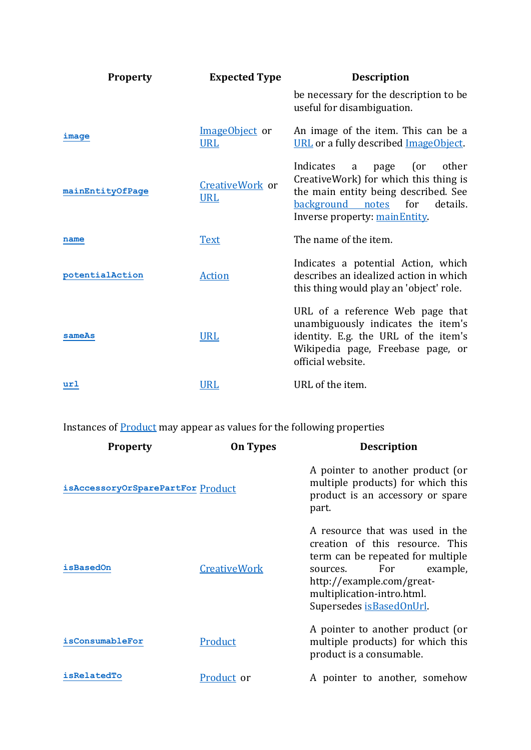| <b>Property</b>  | <b>Expected Type</b>          | <b>Description</b>                                                                                                                                                                                  |
|------------------|-------------------------------|-----------------------------------------------------------------------------------------------------------------------------------------------------------------------------------------------------|
|                  |                               | be necessary for the description to be<br>useful for disambiguation.                                                                                                                                |
| image            | ImageObject or<br><b>URL</b>  | An image of the item. This can be a<br>URL or a fully described ImageObject.                                                                                                                        |
| mainEntityOfPage | CreativeWork or<br><b>URL</b> | other<br>Indicates<br>page<br>(or<br>a<br>CreativeWork) for which this thing is<br>the main entity being described. See<br><u>background notes</u> for<br>details.<br>Inverse property: mainEntity. |
| name             | <b>Text</b>                   | The name of the item.                                                                                                                                                                               |
| potentialAction  | <b>Action</b>                 | Indicates a potential Action, which<br>describes an idealized action in which<br>this thing would play an 'object' role.                                                                            |
| sameAs           | <b>URL</b>                    | URL of a reference Web page that<br>unambiguously indicates the item's<br>identity. E.g. the URL of the item's<br>Wikipedia page, Freebase page, or<br>official website.                            |
| url              | <b>URL</b>                    | URL of the item.                                                                                                                                                                                    |

Instances of **Product** may appear as values for the following properties

| <b>Property</b>                   | <b>On Types</b>     | <b>Description</b>                                                                                                                                                                                                               |
|-----------------------------------|---------------------|----------------------------------------------------------------------------------------------------------------------------------------------------------------------------------------------------------------------------------|
| isAccessoryOrSparePartFor Product |                     | A pointer to another product (or<br>multiple products) for which this<br>product is an accessory or spare<br>part.                                                                                                               |
| isBasedOn                         | <b>CreativeWork</b> | A resource that was used in the<br>creation of this resource. This<br>term can be repeated for multiple<br>For<br>example,<br>sources.<br>http://example.com/great-<br>multiplication-intro.html.<br>Supersedes is Based On Url. |
| isConsumableFor                   | Product             | A pointer to another product (or<br>multiple products) for which this<br>product is a consumable.                                                                                                                                |
| isRelatedTo                       | Product or          | A pointer to another, somehow                                                                                                                                                                                                    |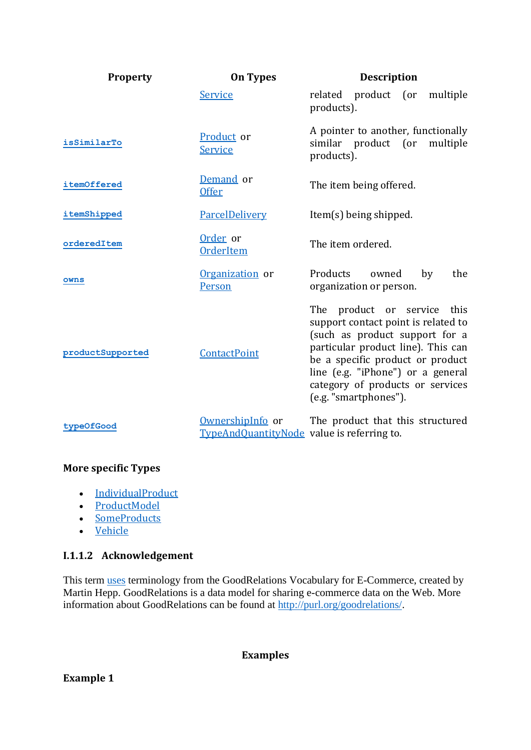| <b>Property</b>  | <b>On Types</b>                                                | <b>Description</b>                                                                                                                                                                                                                                                               |
|------------------|----------------------------------------------------------------|----------------------------------------------------------------------------------------------------------------------------------------------------------------------------------------------------------------------------------------------------------------------------------|
|                  | Service                                                        | related product (or<br>multiple<br>products).                                                                                                                                                                                                                                    |
| isSimilarTo      | Product or<br><b>Service</b>                                   | A pointer to another, functionally<br>similar product (or<br>multiple<br>products).                                                                                                                                                                                              |
| itemOffered      | Demand or<br><b>Offer</b>                                      | The item being offered.                                                                                                                                                                                                                                                          |
| itemShipped      | ParcelDelivery                                                 | Item(s) being shipped.                                                                                                                                                                                                                                                           |
| orderedItem      | Order or<br>OrderItem                                          | The item ordered.                                                                                                                                                                                                                                                                |
| owns             | Organization or<br>Person                                      | Products<br>owned<br>the<br>by<br>organization or person.                                                                                                                                                                                                                        |
| productSupported | ContactPoint                                                   | The product or service this<br>support contact point is related to<br>(such as product support for a<br>particular product line). This can<br>be a specific product or product<br>line (e.g. "iPhone") or a general<br>category of products or services<br>(e.g. "smartphones"). |
| typeOfGood       | OwnershipInfo or<br>TypeAndQuantityNode value is referring to. | The product that this structured                                                                                                                                                                                                                                                 |

## **More specific Types**

- [IndividualProduct](http://schema.org/IndividualProduct)
- [ProductModel](http://schema.org/ProductModel)
- [SomeProducts](http://schema.org/SomeProducts)
- [Vehicle](http://schema.org/Vehicle)

## **I.1.1.2 Acknowledgement**

This term [uses](http://blog.schema.org/2012/11/good-relations-and-schemaorg.html) terminology from the GoodRelations Vocabulary for E-Commerce, created by Martin Hepp. GoodRelations is a data model for sharing e-commerce data on the Web. More information about GoodRelations can be found at [http://purl.org/goodrelations/.](http://purl.org/goodrelations/)

## **Examples**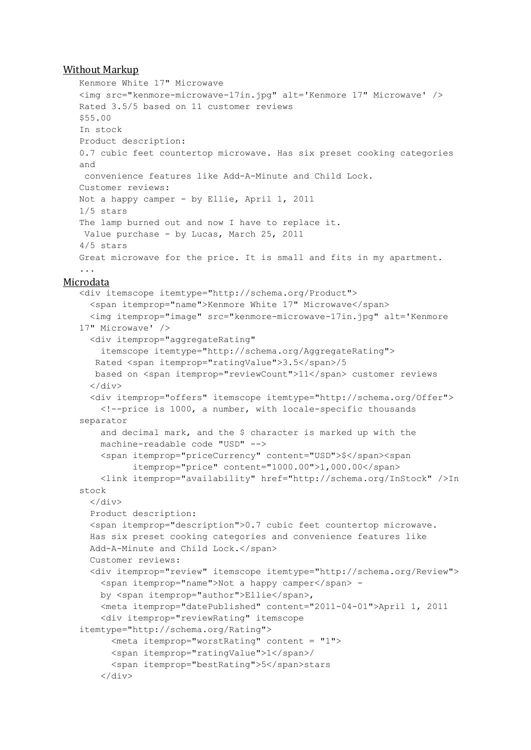#### Without Markup

```
Kenmore White 17" Microwave
   <img src="kenmore-microwave-17in.jpg" alt='Kenmore 17" Microwave' />
   Rated 3.5/5 based on 11 customer reviews
   $55.00
   In stock
   Product description:
   0.7 cubic feet countertop microwave. Has six preset cooking categories 
  and
   convenience features like Add-A-Minute and Child Lock.
   Customer reviews:
  Not a happy camper - by Ellie, April 1, 2011
   1/5 stars
   The lamp burned out and now I have to replace it.
   Value purchase - by Lucas, March 25, 2011
   4/5 stars
   Great microwave for the price. It is small and fits in my apartment.
   ...
Microdata
   <div itemscope itemtype="http://schema.org/Product">
     <span itemprop="name">Kenmore White 17" Microwave</span>
     <img itemprop="image" src="kenmore-microwave-17in.jpg" alt='Kenmore 
   17" Microwave' />
     <div itemprop="aggregateRating"
       itemscope itemtype="http://schema.org/AggregateRating">
      Rated <span itemprop="ratingValue">3.5</span>/5
     based on <span itemprop="reviewCount">11</span> customer reviews
     </div>
     <div itemprop="offers" itemscope itemtype="http://schema.org/Offer">
       <!--price is 1000, a number, with locale-specific thousands 
   separator
       and decimal mark, and the $ character is marked up with the
       machine-readable code "USD" -->
       <span itemprop="priceCurrency" content="USD">$</span><span
             itemprop="price" content="1000.00">1,000.00</span>
       <link itemprop="availability" href="http://schema.org/InStock" />In 
   stock
     \langle div>
     Product description:
     <span itemprop="description">0.7 cubic feet countertop microwave.
     Has six preset cooking categories and convenience features like
    Add-A-Minute and Child Lock.</span>
     Customer reviews:
     <div itemprop="review" itemscope itemtype="http://schema.org/Review">
       <span itemprop="name">Not a happy camper</span> -
       by <span itemprop="author">Ellie</span>,
       <meta itemprop="datePublished" content="2011-04-01">April 1, 2011
       <div itemprop="reviewRating" itemscope
   itemtype="http://schema.org/Rating">
         <meta itemprop="worstRating" content = "1">
         <span itemprop="ratingValue">1</span>/
         <span itemprop="bestRating">5</span>stars
       </div>
```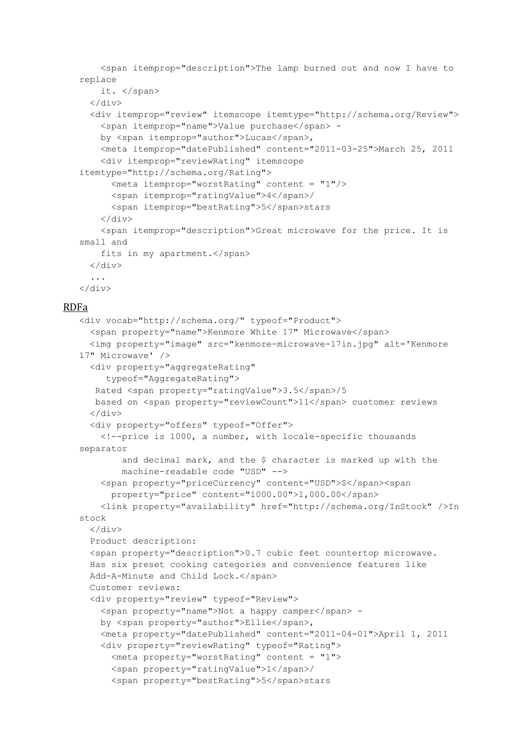```
<span itemprop="description">The lamp burned out and now I have to 
replace
    it. </span>
  \langle/div\rangle<div itemprop="review" itemscope itemtype="http://schema.org/Review">
    <span itemprop="name">Value purchase</span> -
    by <span itemprop="author">Lucas</span>,
    <meta itemprop="datePublished" content="2011-03-25">March 25, 2011
    <div itemprop="reviewRating" itemscope
itemtype="http://schema.org/Rating">
      <meta itemprop="worstRating" content = "1"/>
      <span itemprop="ratingValue">4</span>/
      <span itemprop="bestRating">5</span>stars
    \langle/div\rangle<span itemprop="description">Great microwave for the price. It is 
small and
   fits in my apartment.</span>
  \langle/div\rangle...
\langle/div\rangle
```
#### RDFa

```
<div vocab="http://schema.org/" typeof="Product">
 <span property="name">Kenmore White 17" Microwave</span>
  <img property="image" src="kenmore-microwave-17in.jpg" alt='Kenmore 
17" Microwave' />
 <div property="aggregateRating"
     typeof="AggregateRating">
  Rated <span property="ratingValue">3.5</span>/5
  based on <span property="reviewCount">11</span> customer reviews
 \langle div>
  <div property="offers" typeof="Offer">
   <!--price is 1000, a number, with locale-specific thousands 
separator
        and decimal mark, and the $ character is marked up with the
       machine-readable code "USD" -->
   <span property="priceCurrency" content="USD">$</span><span
      property="price" content="1000.00">1,000.00</span>
    <link property="availability" href="http://schema.org/InStock" />In 
stock
 \langle/div\rangleProduct description:
 <span property="description">0.7 cubic feet countertop microwave.
 Has six preset cooking categories and convenience features like
 Add-A-Minute and Child Lock.</span>
 Customer reviews:
  <div property="review" typeof="Review">
    <span property="name">Not a happy camper</span> -
   by <span property="author">Ellie</span>,
   <meta property="datePublished" content="2011-04-01">April 1, 2011
   <div property="reviewRating" typeof="Rating">
      <meta property="worstRating" content = "1">
      <span property="ratingValue">1</span>/
      <span property="bestRating">5</span>stars
```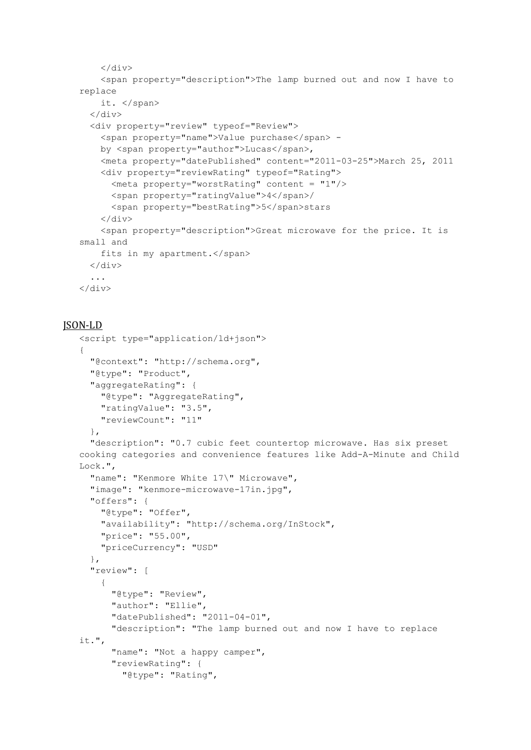```
</div>
    <span property="description">The lamp burned out and now I have to 
replace
   it. </span>
  \langle/div>
  <div property="review" typeof="Review">
    <span property="name">Value purchase</span> -
    by <span property="author">Lucas</span>,
    <meta property="datePublished" content="2011-03-25">March 25, 2011
    <div property="reviewRating" typeof="Rating">
      \leqmeta property="worstRating" content = "1"/>
      <span property="ratingValue">4</span>/
      <span property="bestRating">5</span>stars
    \langle/div\rangle<span property="description">Great microwave for the price. It is 
small and
   fits in my apartment.</span>
  \langle/div\rangle...
\langle/div\rangle
```
#### JSON-LD

```
<script type="application/ld+json">
{
  "@context": "http://schema.org",
  "@type": "Product",
  "aggregateRating": {
    "@type": "AggregateRating",
    "ratingValue": "3.5",
   "reviewCount": "11"
  },
  "description": "0.7 cubic feet countertop microwave. Has six preset 
cooking categories and convenience features like Add-A-Minute and Child 
Lock.",
  "name": "Kenmore White 17\" Microwave",
  "image": "kenmore-microwave-17in.jpg",
  "offers": {
    "@type": "Offer",
    "availability": "http://schema.org/InStock",
    "price": "55.00",
    "priceCurrency": "USD"
  },
  "review": [
    {
      "@type": "Review",
      "author": "Ellie",
      "datePublished": "2011-04-01",
      "description": "The lamp burned out and now I have to replace 
it.",
      "name": "Not a happy camper",
      "reviewRating": {
        "@type": "Rating",
```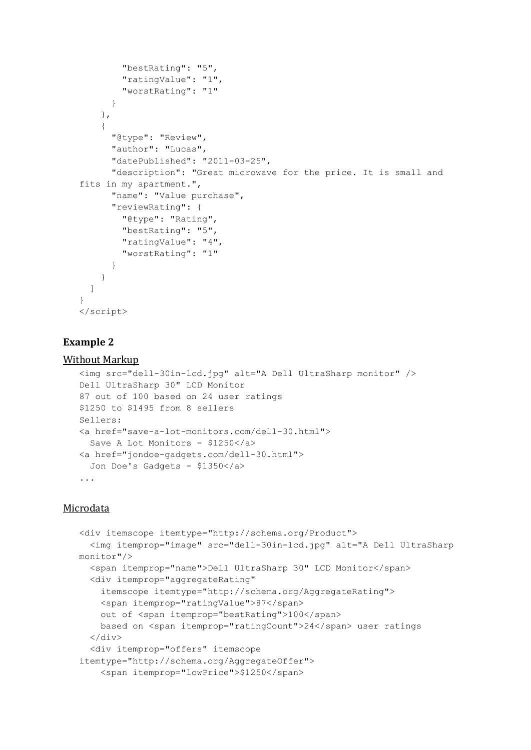```
"bestRating": "5",
        "ratingValue": "1",
        "worstRating": "1"
      }
    },
    {
      "@type": "Review",
      "author": "Lucas",
      "datePublished": "2011-03-25",
      "description": "Great microwave for the price. It is small and 
fits in my apartment.",
      "name": "Value purchase",
      "reviewRating": {
        "@type": "Rating",
        "bestRating": "5",
        "ratingValue": "4",
        "worstRating": "1"
      }
    }
  ]
}
</script>
```
### **Example 2**

#### Without Markup

```
<img src="dell-30in-lcd.jpg" alt="A Dell UltraSharp monitor" />
Dell UltraSharp 30" LCD Monitor
87 out of 100 based on 24 user ratings
$1250 to $1495 from 8 sellers
Sellers:
<a href="save-a-lot-monitors.com/dell-30.html">
 Save A Lot Monitors - $1250</a>
<a href="jondoe-gadgets.com/dell-30.html">
 Jon Doe's Gadgets - $1350</a>
...
```
### Microdata

```
<div itemscope itemtype="http://schema.org/Product">
  <img itemprop="image" src="dell-30in-lcd.jpg" alt="A Dell UltraSharp 
monitor"/>
  <span itemprop="name">Dell UltraSharp 30" LCD Monitor</span>
  <div itemprop="aggregateRating"
    itemscope itemtype="http://schema.org/AggregateRating">
    <span itemprop="ratingValue">87</span>
    out of <span itemprop="bestRating">100</span>
    based on <span itemprop="ratingCount">24</span> user ratings
  \langle/div\rangle<div itemprop="offers" itemscope
itemtype="http://schema.org/AggregateOffer">
    <span itemprop="lowPrice">$1250</span>
```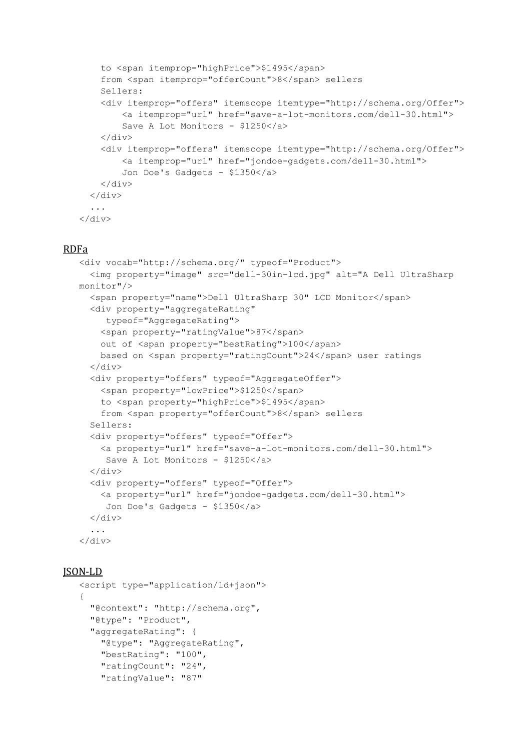```
to <span itemprop="highPrice">$1495</span>
    from <span itemprop="offerCount">8</span> sellers
    Sellers:
    <div itemprop="offers" itemscope itemtype="http://schema.org/Offer">
        <a itemprop="url" href="save-a-lot-monitors.com/dell-30.html">
        Save A Lot Monitors - $1250</a>
    </div>
    <div itemprop="offers" itemscope itemtype="http://schema.org/Offer">
        <a itemprop="url" href="jondoe-gadgets.com/dell-30.html">
        Jon Doe's Gadgets - $1350</a>
    \langle/div\rangle\langlediv>...
</div>
```
#### RDFa

```
<div vocab="http://schema.org/" typeof="Product">
  <img property="image" src="dell-30in-lcd.jpg" alt="A Dell UltraSharp 
monitor"/>
  <span property="name">Dell UltraSharp 30" LCD Monitor</span>
  <div property="aggregateRating"
     typeof="AggregateRating">
    <span property="ratingValue">87</span>
    out of <span property="bestRating">100</span>
    based on <span property="ratingCount">24</span> user ratings
  \langlediv><div property="offers" typeof="AggregateOffer">
    <span property="lowPrice">$1250</span>
    to <span property="highPrice">$1495</span>
    from <span property="offerCount">8</span> sellers
  Sellers:
  <div property="offers" typeof="Offer">
    <a property="url" href="save-a-lot-monitors.com/dell-30.html">
     Save A Lot Monitors - $1250</a>
  </div>
  <div property="offers" typeof="Offer">
    <a property="url" href="jondoe-gadgets.com/dell-30.html">
     Jon Doe's Gadgets - $1350</a>
  \langle div>
  ...
\langlediv>
```
#### JSON-LD

```
<script type="application/ld+json">
{
 "@context": "http://schema.org",
  "@type": "Product",
  "aggregateRating": {
    "@type": "AggregateRating",
    "bestRating": "100",
    "ratingCount": "24",
    "ratingValue": "87"
```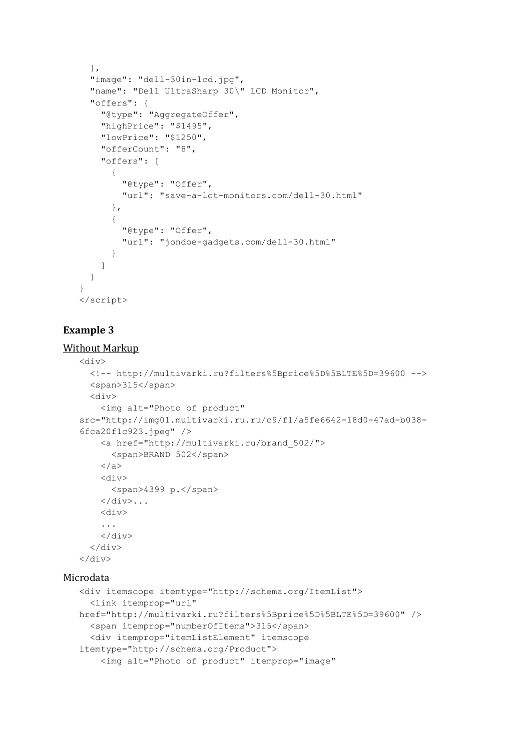```
},
  "image": "dell-30in-lcd.jpg",
  "name": "Dell UltraSharp 30\" LCD Monitor",
  "offers": {
    "@type": "AggregateOffer",
    "highPrice": "$1495",
    "lowPrice": "$1250",
    "offerCount": "8",
    "offers": [
      {
        "@type": "Offer",
        "url": "save-a-lot-monitors.com/dell-30.html"
      },
      {
        "@type": "Offer",
        "url": "jondoe-gadgets.com/dell-30.html"
      }
    ]
  }
}
</script>
```
## **Example 3**

### Without Markup

```
<div>
     <!-- http://multivarki.ru?filters%5Bprice%5D%5BLTE%5D=39600 -->
     <span>315</span>
     <div>
       <img alt="Photo of product"
   src="http://img01.multivarki.ru.ru/c9/f1/a5fe6642-18d0-47ad-b038-
   6fca20f1c923.jpeg" />
       <a href="http://multivarki.ru/brand_502/">
          <span>BRAND 502</span>
       </a>
       <div>
         <span>4399 р.</span>
       \langle/div>...
       <div>
       ...
       \langlediv>
     \langle div>
   \langle/div\rangleMicrodata
```

```
<div itemscope itemtype="http://schema.org/ItemList">
  <link itemprop="url"
href="http://multivarki.ru?filters%5Bprice%5D%5BLTE%5D=39600" />
  <span itemprop="numberOfItems">315</span>
  <div itemprop="itemListElement" itemscope
itemtype="http://schema.org/Product">
    <img alt="Photo of product" itemprop="image"
```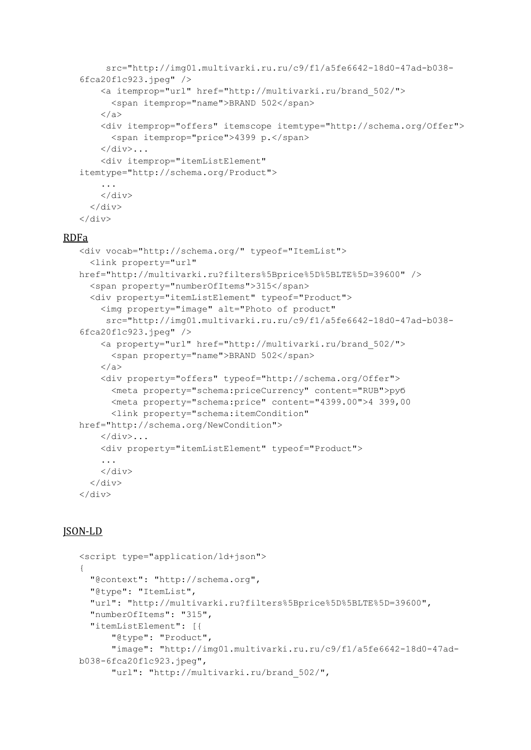```
src="http://img01.multivarki.ru.ru/c9/f1/a5fe6642-18d0-47ad-b038-
   6fca20f1c923.jpeg" />
       <a itemprop="url" href="http://multivarki.ru/brand_502/">
         <span itemprop="name">BRAND 502</span>
       </a>
       <div itemprop="offers" itemscope itemtype="http://schema.org/Offer">
         <span itemprop="price">4399 р.</span>
       \langle/div>...
       <div itemprop="itemListElement"
   itemtype="http://schema.org/Product">
       ...
       \langlediv>\langle/div\rangle</div>
RDFa
```

```
<div vocab="http://schema.org/" typeof="ItemList">
  <link property="url"
href="http://multivarki.ru?filters%5Bprice%5D%5BLTE%5D=39600" />
  <span property="numberOfItems">315</span>
  <div property="itemListElement" typeof="Product">
    <img property="image" alt="Photo of product"
     src="http://img01.multivarki.ru.ru/c9/f1/a5fe6642-18d0-47ad-b038-
6fca20f1c923.jpg<a property="url" href="http://multivarki.ru/brand_502/">
      <span property="name">BRAND 502</span>
    </a>
    <div property="offers" typeof="http://schema.org/Offer">
      <meta property="schema:priceCurrency" content="RUB">руб
      <meta property="schema:price" content="4399.00">4 399,00
      <link property="schema:itemCondition"
href="http://schema.org/NewCondition">
    \langlediv>...
    <div property="itemListElement" typeof="Product">
    ...
    \langle/div\rangle\langle/div\rangle</div>
```
### JSON-LD

```
<script type="application/ld+json">
{
  "@context": "http://schema.org",
  "@type": "ItemList",
  "url": "http://multivarki.ru?filters%5Bprice%5D%5BLTE%5D=39600",
  "numberOfItems": "315",
  "itemListElement": [{
      "@type": "Product",
      "image": "http://img01.multivarki.ru.ru/c9/f1/a5fe6642-18d0-47ad-
b038-6fca20f1c923.jpeg",
      "url": "http://multivarki.ru/brand_502/",
```